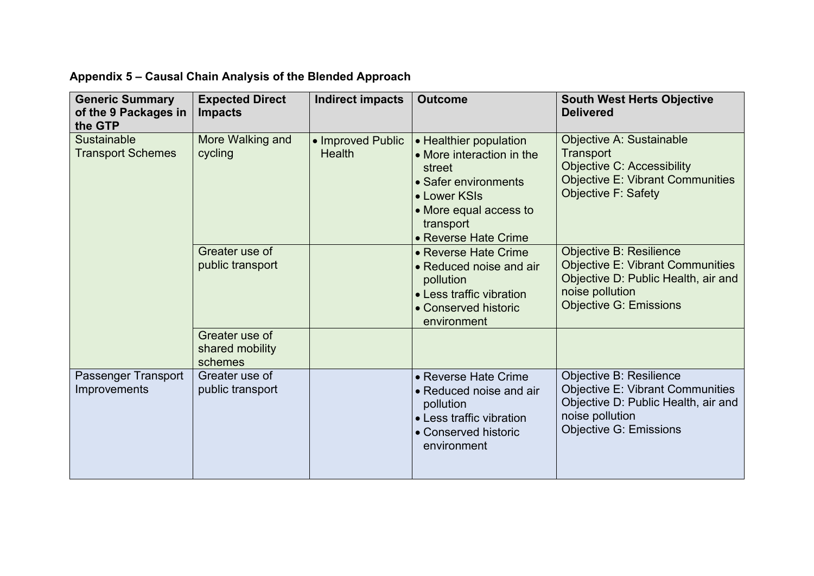## **Appendix 5 – Causal Chain Analysis of the Blended Approach**

| <b>Generic Summary</b><br>of the 9 Packages in<br>the GTP | <b>Expected Direct</b><br><b>Impacts</b>     | <b>Indirect impacts</b>            | <b>Outcome</b>                                                                                                                                                       | <b>South West Herts Objective</b><br><b>Delivered</b>                                                                                                                |
|-----------------------------------------------------------|----------------------------------------------|------------------------------------|----------------------------------------------------------------------------------------------------------------------------------------------------------------------|----------------------------------------------------------------------------------------------------------------------------------------------------------------------|
| <b>Sustainable</b><br><b>Transport Schemes</b>            | More Walking and<br>cycling                  | • Improved Public<br><b>Health</b> | • Healthier population<br>• More interaction in the<br>street<br>• Safer environments<br>• Lower KSIs<br>• More equal access to<br>transport<br>• Reverse Hate Crime | Objective A: Sustainable<br>Transport<br><b>Objective C: Accessibility</b><br><b>Objective E: Vibrant Communities</b><br><b>Objective F: Safety</b>                  |
|                                                           | Greater use of<br>public transport           |                                    | • Reverse Hate Crime<br>• Reduced noise and air<br>pollution<br>• Less traffic vibration<br>• Conserved historic<br>environment                                      | <b>Objective B: Resilience</b><br><b>Objective E: Vibrant Communities</b><br>Objective D: Public Health, air and<br>noise pollution<br><b>Objective G: Emissions</b> |
|                                                           | Greater use of<br>shared mobility<br>schemes |                                    |                                                                                                                                                                      |                                                                                                                                                                      |
| Passenger Transport<br>Improvements                       | Greater use of<br>public transport           |                                    | • Reverse Hate Crime<br>• Reduced noise and air<br>pollution<br>• Less traffic vibration<br>• Conserved historic<br>environment                                      | Objective B: Resilience<br><b>Objective E: Vibrant Communities</b><br>Objective D: Public Health, air and<br>noise pollution<br><b>Objective G: Emissions</b>        |